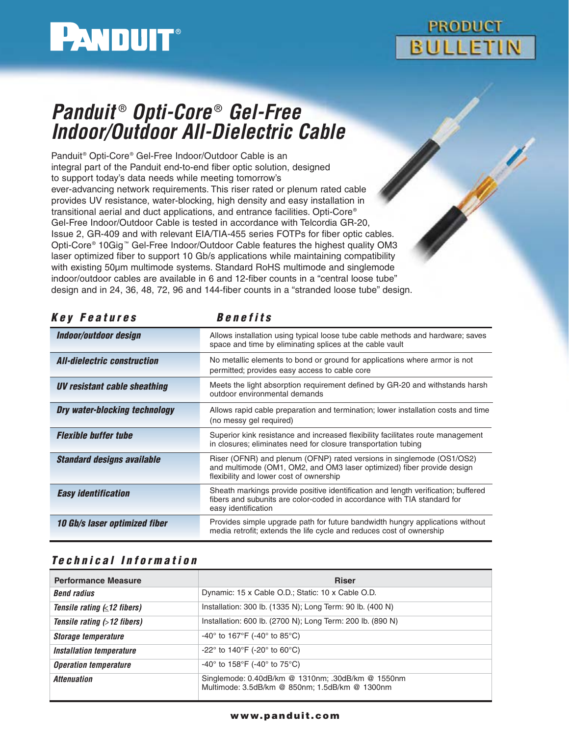

# **PRODUCT BULLETIN**

# **Panduit** ® **Opti-Core** ® **Gel-Free Indoor/Outdoor All-Dielectric Cable**

Panduit® Opti-Core® Gel-Free Indoor/Outdoor Cable is an integral part of the Panduit end-to-end fiber optic solution, designed to support today's data needs while meeting tomorrow's ever-advancing network requirements. This riser rated or plenum rated cable provides UV resistance, water-blocking, high density and easy installation in transitional aerial and duct applications, and entrance facilities. Opti-Core® Gel-Free Indoor/Outdoor Cable is tested in accordance with Telcordia GR-20, Issue 2, GR-409 and with relevant EIA/TIA-455 series FOTPs for fiber optic cables. Opti-Core® 10Gig ™ Gel-Free Indoor/Outdoor Cable features the highest quality OM3 laser optimized fiber to support 10 Gb/s applications while maintaining compatibility with existing 50µm multimode systems. Standard RoHS multimode and singlemode indoor/outdoor cables are available in 6 and 12-fiber counts in a "central loose tube" design and in 24, 36, 48, 72, 96 and 144-fiber counts in a "stranded loose tube" design.

| <i>Key reatures</i>                  | Benefits                                                                                                                                                                                   |  |  |
|--------------------------------------|--------------------------------------------------------------------------------------------------------------------------------------------------------------------------------------------|--|--|
| Indoor/outdoor design                | Allows installation using typical loose tube cable methods and hardware; saves<br>space and time by eliminating splices at the cable vault                                                 |  |  |
| <b>All-dielectric construction</b>   | No metallic elements to bond or ground for applications where armor is not<br>permitted; provides easy access to cable core                                                                |  |  |
| UV resistant cable sheathing         | Meets the light absorption requirement defined by GR-20 and withstands harsh<br>outdoor environmental demands                                                                              |  |  |
| <b>Dry water-blocking technology</b> | Allows rapid cable preparation and termination; lower installation costs and time<br>(no messy gel required)                                                                               |  |  |
| <b>Flexible buffer tube</b>          | Superior kink resistance and increased flexibility facilitates route management<br>in closures; eliminates need for closure transportation tubing                                          |  |  |
| <b>Standard designs available</b>    | Riser (OFNR) and plenum (OFNP) rated versions in singlemode (OS1/OS2)<br>and multimode (OM1, OM2, and OM3 laser optimized) fiber provide design<br>flexibility and lower cost of ownership |  |  |
| <b>Easy identification</b>           | Sheath markings provide positive identification and length verification; buffered<br>fibers and subunits are color-coded in accordance with TIA standard for<br>easy identification        |  |  |
| <b>10 Gb/s laser optimized fiber</b> | Provides simple upgrade path for future bandwidth hungry applications without<br>media retrofit; extends the life cycle and reduces cost of ownership                                      |  |  |

## **Key Features Benefits**

### **Technical Information**

| <b>Performance Measure</b>             | <b>Riser</b>                                                                                        |
|----------------------------------------|-----------------------------------------------------------------------------------------------------|
| <b>Bend radius</b>                     | Dynamic: 15 x Cable O.D.; Static: 10 x Cable O.D.                                                   |
| Tensile rating $( \leq 12$ fibers)     | Installation: 300 lb. (1335 N); Long Term: 90 lb. (400 N)                                           |
| Tensile rating $($ > 12 fibers)        | Installation: 600 lb. (2700 N); Long Term: 200 lb. (890 N)                                          |
| Storage temperature                    | $-40^{\circ}$ to 167°F (-40° to 85°C)                                                               |
| <i><b>Installation temperature</b></i> | -22 $^{\circ}$ to 140 $^{\circ}$ F (-20 $^{\circ}$ to 60 $^{\circ}$ C)                              |
| <b>Operation temperature</b>           | $-40^{\circ}$ to 158 $^{\circ}$ F (-40 $^{\circ}$ to 75 $^{\circ}$ C)                               |
| <i><b>Attenuation</b></i>              | Singlemode: 0.40dB/km @ 1310nm; .30dB/km @ 1550nm<br>Multimode: 3.5dB/km @ 850nm; 1.5dB/km @ 1300nm |